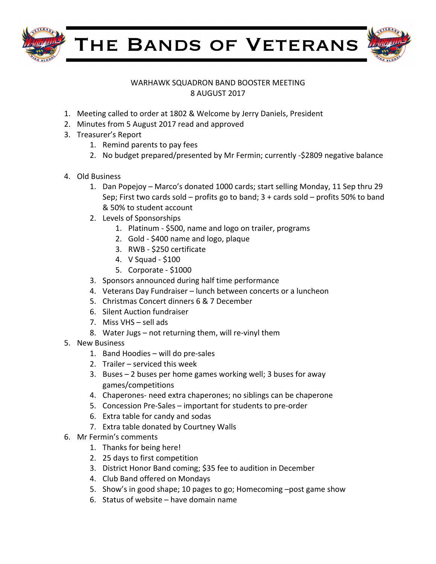

THE BANDS OF VETERANS



## WARHAWK SQUADRON BAND BOOSTER MEETING 8 AUGUST 2017

- 1. Meeting called to order at 1802 & Welcome by Jerry Daniels, President
- 2. Minutes from 5 August 2017 read and approved
- 3. Treasurer's Report
	- 1. Remind parents to pay fees
	- 2. No budget prepared/presented by Mr Fermin; currently -\$2809 negative balance
- 4. Old Business
	- 1. Dan Popejoy Marco's donated 1000 cards; start selling Monday, 11 Sep thru 29 Sep; First two cards sold – profits go to band;  $3 +$  cards sold – profits 50% to band & 50% to student account
	- 2. Levels of Sponsorships
		- 1. Platinum \$500, name and logo on trailer, programs
		- 2. Gold \$400 name and logo, plaque
		- 3. RWB \$250 certificate
		- 4. V Squad - \$100
		- 5. Corporate \$1000
	- 3. Sponsors announced during half time performance
	- 4. Veterans Day Fundraiser lunch between concerts or a luncheon
	- 5. Christmas Concert dinners 6 & 7 December
	- 6. Silent Auction fundraiser
	- 7. Miss  $VHS -$  sell ads
	- 8. Water Jugs not returning them, will re-vinyl them
- 5. New Business
	- 1. Band Hoodies will do pre-sales
	- 2. Trailer  $-$  serviced this week
	- 3. Buses  $-2$  buses per home games working well; 3 buses for away games/competitions
	- 4. Chaperones- need extra chaperones; no siblings can be chaperone
	- 5. Concession Pre-Sales important for students to pre-order
	- 6. Extra table for candy and sodas
	- 7. Extra table donated by Courtney Walls
- 6. Mr Fermin's comments
	- 1. Thanks for being here!
	- 2. 25 days to first competition
	- 3. District Honor Band coming; \$35 fee to audition in December
	- 4. Club Band offered on Mondays
	- 5. Show's in good shape; 10 pages to go; Homecoming -post game show
	- 6. Status of website  $-$  have domain name